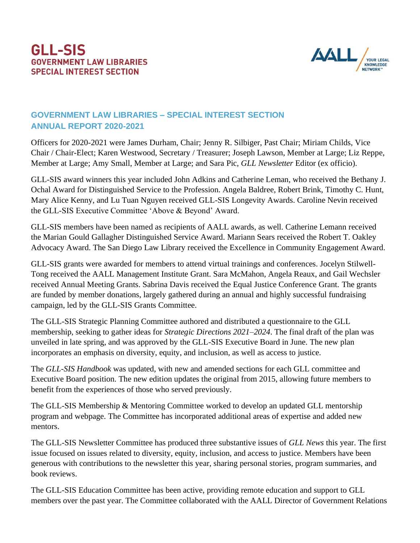## **GLL-SIS GOVERNMENT LAW LIBRARIES SPECIAL INTEREST SECTION**



## **GOVERNMENT LAW LIBRARIES – SPECIAL INTEREST SECTION ANNUAL REPORT 2020-2021**

Officers for 2020-2021 were James Durham, Chair; Jenny R. Silbiger, Past Chair; Miriam Childs, Vice Chair / Chair-Elect; Karen Westwood, Secretary / Treasurer; Joseph Lawson, Member at Large; Liz Reppe, Member at Large; Amy Small, Member at Large; and Sara Pic, *GLL Newsletter* Editor (ex officio).

GLL-SIS award winners this year included John Adkins and Catherine Leman, who received the Bethany J. Ochal Award for Distinguished Service to the Profession. Angela Baldree, Robert Brink, Timothy C. Hunt, Mary Alice Kenny, and Lu Tuan Nguyen received GLL-SIS Longevity Awards. Caroline Nevin received the GLL-SIS Executive Committee 'Above & Beyond' Award.

GLL-SIS members have been named as recipients of AALL awards, as well. Catherine Lemann received the Marian Gould Gallagher Distinguished Service Award. Mariann Sears received the Robert T. Oakley Advocacy Award. The San Diego Law Library received the Excellence in Community Engagement Award.

GLL-SIS grants were awarded for members to attend virtual trainings and conferences. Jocelyn Stilwell-Tong received the AALL Management Institute Grant. Sara McMahon, Angela Reaux, and Gail Wechsler received Annual Meeting Grants. Sabrina Davis received the Equal Justice Conference Grant. The grants are funded by member donations, largely gathered during an annual and highly successful fundraising campaign, led by the GLL-SIS Grants Committee.

The GLL-SIS Strategic Planning Committee authored and distributed a questionnaire to the GLL membership, seeking to gather ideas for *Strategic Directions 2021–2024*. The final draft of the plan was unveiled in late spring, and was approved by the GLL-SIS Executive Board in June. The new plan incorporates an emphasis on diversity, equity, and inclusion, as well as access to justice.

The *GLL-SIS Handbook* was updated, with new and amended sections for each GLL committee and Executive Board position. The new edition updates the original from 2015, allowing future members to benefit from the experiences of those who served previously.

The GLL-SIS Membership & Mentoring Committee worked to develop an updated GLL mentorship program and webpage. The Committee has incorporated additional areas of expertise and added new mentors.

The GLL-SIS Newsletter Committee has produced three substantive issues of *GLL News* this year. The first issue focused on issues related to diversity, equity, inclusion, and access to justice. Members have been generous with contributions to the newsletter this year, sharing personal stories, program summaries, and book reviews.

The GLL-SIS Education Committee has been active, providing remote education and support to GLL members over the past year. The Committee collaborated with the AALL Director of Government Relations